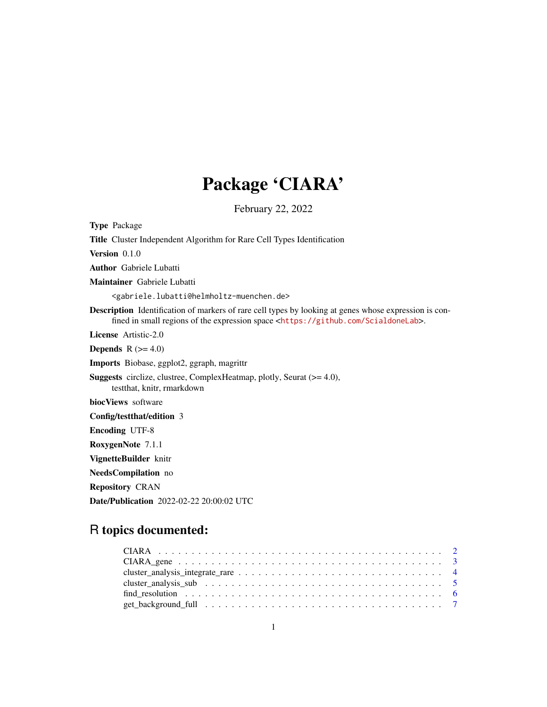# Package 'CIARA'

February 22, 2022

Type Package Title Cluster Independent Algorithm for Rare Cell Types Identification Version 0.1.0 Author Gabriele Lubatti Maintainer Gabriele Lubatti <gabriele.lubatti@helmholtz-muenchen.de> Description Identification of markers of rare cell types by looking at genes whose expression is confined in small regions of the expression space <<https://github.com/ScialdoneLab>>. License Artistic-2.0 **Depends**  $R$  ( $>= 4.0$ ) Imports Biobase, ggplot2, ggraph, magrittr Suggests circlize, clustree, ComplexHeatmap, plotly, Seurat (>= 4.0), testthat, knitr, rmarkdown biocViews software Config/testthat/edition 3 Encoding UTF-8 RoxygenNote 7.1.1 VignetteBuilder knitr NeedsCompilation no Repository CRAN

Date/Publication 2022-02-22 20:00:02 UTC

## R topics documented:

| get_background_full $\dots \dots \dots \dots \dots \dots \dots \dots \dots \dots \dots \dots \dots \dots \dots \dots \dots$ |  |
|-----------------------------------------------------------------------------------------------------------------------------|--|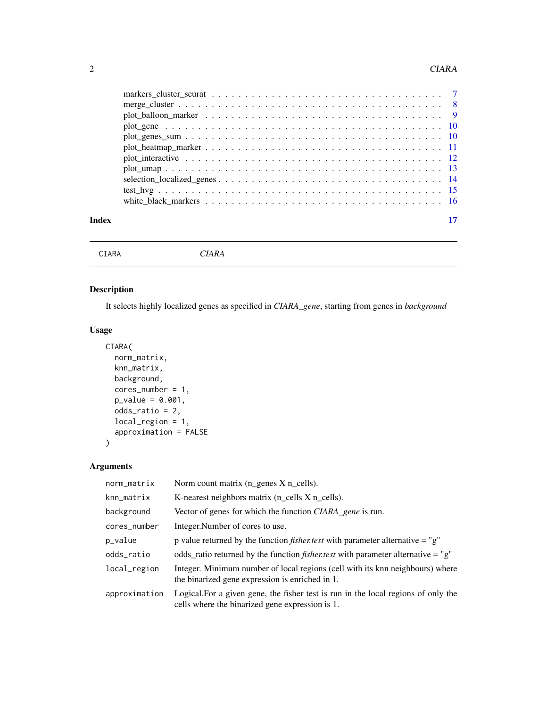#### <span id="page-1-0"></span>2 CIARA

| Index |  |
|-------|--|

CIARA *CIARA*

#### Description

It selects highly localized genes as specified in *CIARA\_gene*, starting from genes in *background*

#### Usage

```
CIARA(
 norm_matrix,
 knn_matrix,
 background,
 cores_number = 1,
 p_value = 0.001,odds_ratio = 2,
  local_region = 1,
  approximation = FALSE
)
```
#### Arguments

| norm_matrix   | Norm count matrix (n_genes X n_cells).                                                                                                |
|---------------|---------------------------------------------------------------------------------------------------------------------------------------|
| knn_matrix    | K-nearest neighbors matrix $(n$ cells $X$ n cells).                                                                                   |
| background    | Vector of genes for which the function <i>CIARA gene</i> is run.                                                                      |
| cores_number  | Integer. Number of cores to use.                                                                                                      |
| p_value       | p value returned by the function <i>fisher test</i> with parameter alternative $=$ "g"                                                |
| odds_ratio    | odds_ratio returned by the function <i>fisher.test</i> with parameter alternative = "g"                                               |
| local_region  | Integer. Minimum number of local regions (cell with its knn neighbours) where<br>the binarized gene expression is enriched in 1.      |
| approximation | Logical. For a given gene, the fisher test is run in the local regions of only the<br>cells where the binarized gene expression is 1. |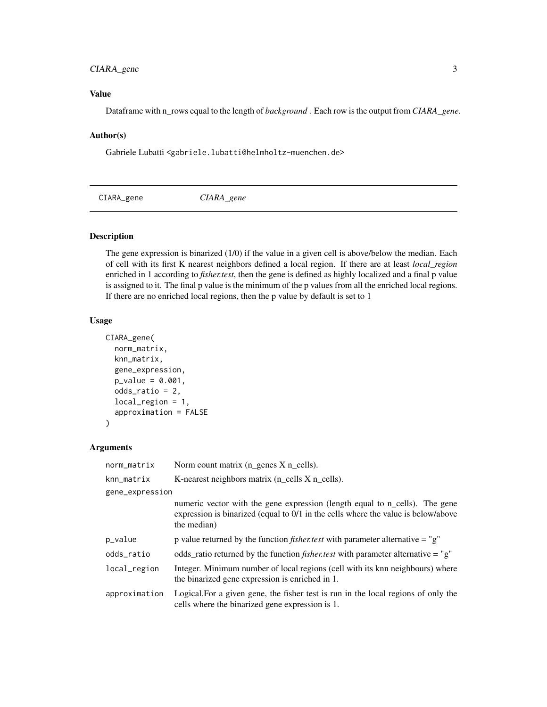#### <span id="page-2-0"></span>CIARA\_gene 3

#### Value

Dataframe with n\_rows equal to the length of *background* . Each row is the output from *CIARA\_gene*.

#### Author(s)

Gabriele Lubatti <gabriele.lubatti@helmholtz-muenchen.de>

#### Description

The gene expression is binarized (1/0) if the value in a given cell is above/below the median. Each of cell with its first K nearest neighbors defined a local region. If there are at least *local\_region* enriched in 1 according to *fisher.test*, then the gene is defined as highly localized and a final p value is assigned to it. The final p value is the minimum of the p values from all the enriched local regions. If there are no enriched local regions, then the p value by default is set to 1

#### Usage

```
CIARA_gene(
  norm_matrix,
  knn_matrix,
  gene_expression,
 p_value = 0.001,odds_ratio = 2,
  local_region = 1,
  approximation = FALSE
)
```
#### Arguments

| norm_matrix     | Norm count matrix $(n$ genes $X$ $n$ cells).                                                                                                                                    |
|-----------------|---------------------------------------------------------------------------------------------------------------------------------------------------------------------------------|
| knn_matrix      | K-nearest neighbors matrix (n_cells X n_cells).                                                                                                                                 |
| gene_expression |                                                                                                                                                                                 |
|                 | numeric vector with the gene expression (length equal to n_cells). The gene<br>expression is binarized (equal to 0/1 in the cells where the value is below/above<br>the median) |
| p_value         | p value returned by the function <i>fisher test</i> with parameter alternative $=$ "g"                                                                                          |
| odds_ratio      | odds_ratio returned by the function <i>fisher.test</i> with parameter alternative = "g"                                                                                         |
| local_region    | Integer. Minimum number of local regions (cell with its knn neighbours) where<br>the binarized gene expression is enriched in 1.                                                |
| approximation   | Logical. For a given gene, the fisher test is run in the local regions of only the<br>cells where the binarized gene expression is 1.                                           |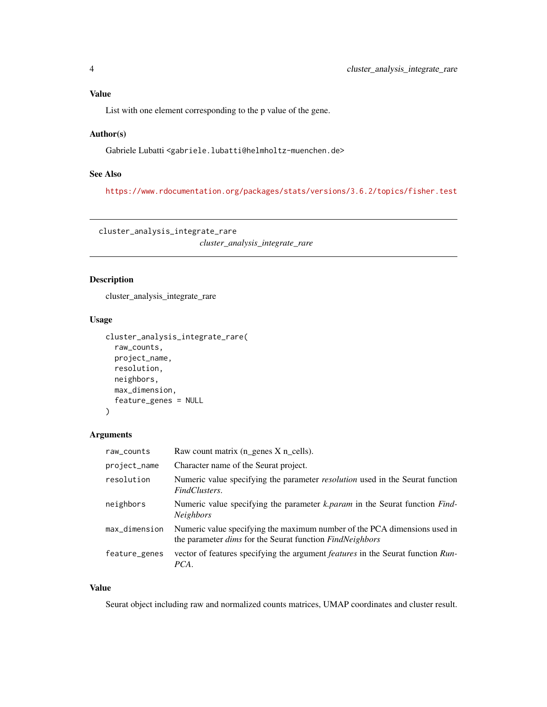#### <span id="page-3-0"></span>Value

List with one element corresponding to the p value of the gene.

#### Author(s)

Gabriele Lubatti <gabriele.lubatti@helmholtz-muenchen.de>

#### See Also

<https://www.rdocumentation.org/packages/stats/versions/3.6.2/topics/fisher.test>

cluster\_analysis\_integrate\_rare

*cluster\_analysis\_integrate\_rare*

#### Description

cluster\_analysis\_integrate\_rare

#### Usage

```
cluster_analysis_integrate_rare(
  raw_counts,
 project_name,
  resolution,
 neighbors,
 max_dimension,
  feature_genes = NULL
)
```
#### Arguments

| raw_counts    | Raw count matrix (n_genes X n_cells).                                                                                                               |
|---------------|-----------------------------------------------------------------------------------------------------------------------------------------------------|
| project_name  | Character name of the Seurat project.                                                                                                               |
| resolution    | Numeric value specifying the parameter <i>resolution</i> used in the Seurat function<br>FindClusters.                                               |
| neighbors     | Numeric value specifying the parameter k.param in the Seurat function Find-<br><b>Neighbors</b>                                                     |
| max_dimension | Numeric value specifying the maximum number of the PCA dimensions used in<br>the parameter <i>dims</i> for the Seurat function <i>FindNeighbors</i> |
| feature_genes | vector of features specifying the argument <i>features</i> in the Seurat function <i>Run</i> -<br>PCA.                                              |

#### Value

Seurat object including raw and normalized counts matrices, UMAP coordinates and cluster result.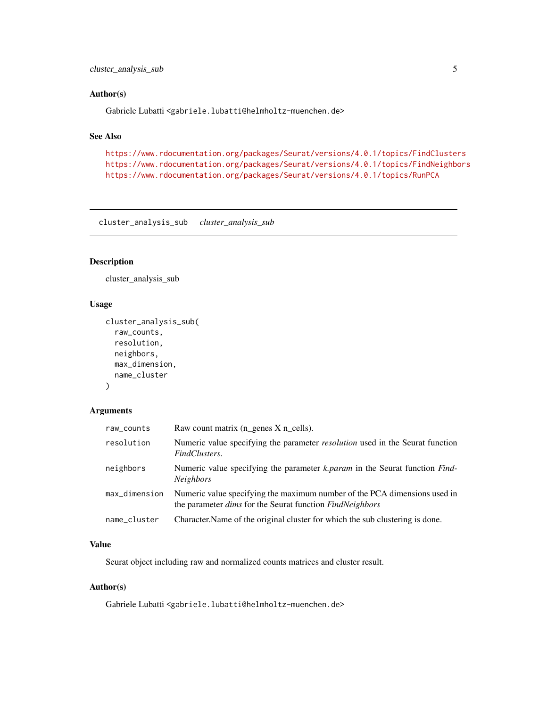<span id="page-4-0"></span>cluster\_analysis\_sub 5

#### Author(s)

Gabriele Lubatti <gabriele.lubatti@helmholtz-muenchen.de>

#### See Also

```
https://www.rdocumentation.org/packages/Seurat/versions/4.0.1/topics/FindClusters
https://www.rdocumentation.org/packages/Seurat/versions/4.0.1/topics/FindNeighbors
https://www.rdocumentation.org/packages/Seurat/versions/4.0.1/topics/RunPCA
```
cluster\_analysis\_sub *cluster\_analysis\_sub*

#### Description

cluster\_analysis\_sub

#### Usage

```
cluster_analysis_sub(
  raw_counts,
  resolution,
  neighbors,
  max_dimension,
  name_cluster
\lambda
```
#### Arguments

| raw_counts    | Raw count matrix (n_genes X n_cells).                                                                                                               |
|---------------|-----------------------------------------------------------------------------------------------------------------------------------------------------|
| resolution    | Numeric value specifying the parameter <i>resolution</i> used in the Seurat function<br>FindClusters.                                               |
| neighbors     | Numeric value specifying the parameter k.param in the Seurat function Find-<br><i>Neighbors</i>                                                     |
| max_dimension | Numeric value specifying the maximum number of the PCA dimensions used in<br>the parameter <i>dims</i> for the Seurat function <i>FindNeighbors</i> |
| name_cluster  | Character. Name of the original cluster for which the sub clustering is done.                                                                       |

#### Value

Seurat object including raw and normalized counts matrices and cluster result.

#### Author(s)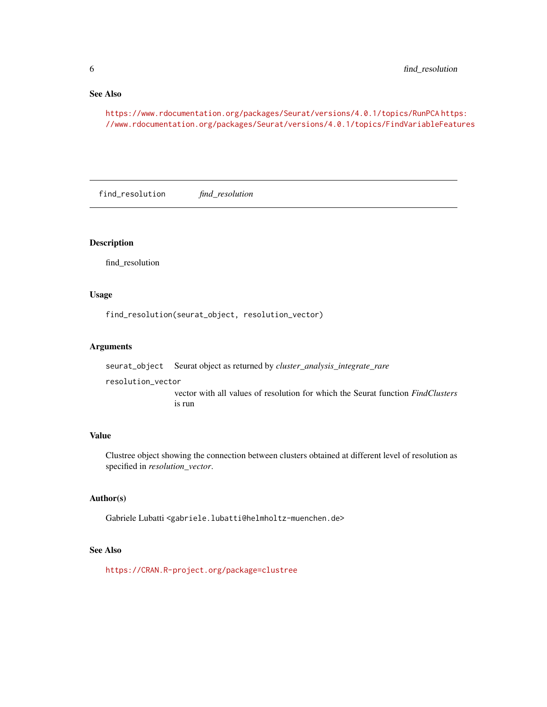#### <span id="page-5-0"></span>See Also

<https://www.rdocumentation.org/packages/Seurat/versions/4.0.1/topics/RunPCA> [http](https://www.rdocumentation.org/packages/Seurat/versions/4.0.1/topics/FindVariableFeatures)s: [//www.rdocumentation.org/packages/Seurat/versions/4.0.1/topics/FindVariableFeatures](https://www.rdocumentation.org/packages/Seurat/versions/4.0.1/topics/FindVariableFeatures)

find\_resolution *find\_resolution*

#### Description

find\_resolution

#### Usage

find\_resolution(seurat\_object, resolution\_vector)

#### Arguments

seurat\_object Seurat object as returned by *cluster\_analysis\_integrate\_rare*

resolution\_vector

vector with all values of resolution for which the Seurat function *FindClusters* is run

#### Value

Clustree object showing the connection between clusters obtained at different level of resolution as specified in *resolution\_vector*.

#### Author(s)

Gabriele Lubatti <gabriele.lubatti@helmholtz-muenchen.de>

#### See Also

<https://CRAN.R-project.org/package=clustree>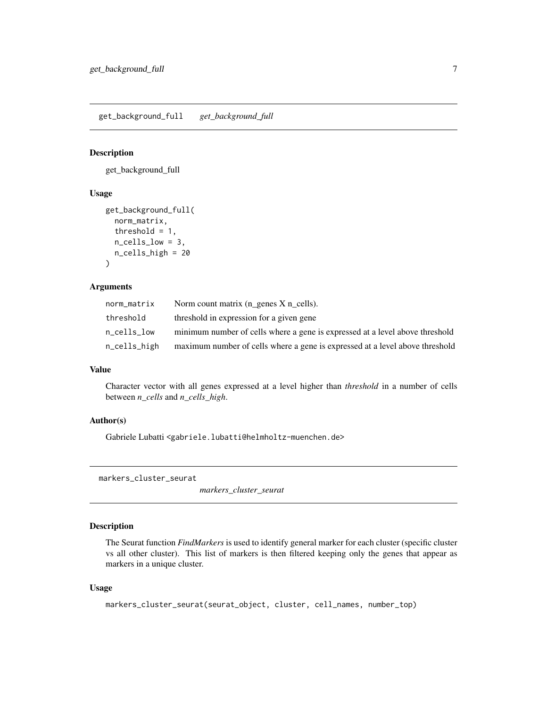<span id="page-6-0"></span>get\_background\_full *get\_background\_full*

#### Description

get\_background\_full

#### Usage

```
get_background_full(
  norm_matrix,
  threshold = 1,
 n_cells_low = 3,
 n_cells_high = 20
)
```
#### Arguments

| norm_matrix  | Norm count matrix $(n$ genes $X$ n cells).                                   |
|--------------|------------------------------------------------------------------------------|
| threshold    | threshold in expression for a given gene                                     |
| n cells low  | minimum number of cells where a gene is expressed at a level above threshold |
| n_cells_high | maximum number of cells where a gene is expressed at a level above threshold |

#### Value

Character vector with all genes expressed at a level higher than *threshold* in a number of cells between *n\_cells* and *n\_cells\_high*.

#### Author(s)

Gabriele Lubatti <gabriele.lubatti@helmholtz-muenchen.de>

markers\_cluster\_seurat

*markers\_cluster\_seurat*

#### Description

The Seurat function *FindMarkers* is used to identify general marker for each cluster (specific cluster vs all other cluster). This list of markers is then filtered keeping only the genes that appear as markers in a unique cluster.

#### Usage

```
markers_cluster_seurat(seurat_object, cluster, cell_names, number_top)
```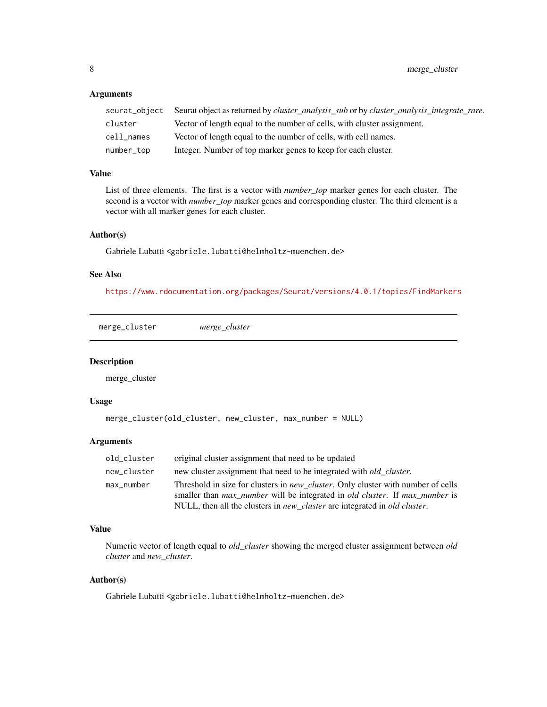<span id="page-7-0"></span>8 merge\_cluster

#### Arguments

|            | seurat_object Seurat object as returned by cluster_analysis_sub or by cluster_analysis_integrate_rare. |
|------------|--------------------------------------------------------------------------------------------------------|
| cluster    | Vector of length equal to the number of cells, with cluster assignment.                                |
| cell names | Vector of length equal to the number of cells, with cell names.                                        |
| number_top | Integer. Number of top marker genes to keep for each cluster.                                          |

#### Value

List of three elements. The first is a vector with *number\_top* marker genes for each cluster. The second is a vector with *number\_top* marker genes and corresponding cluster. The third element is a vector with all marker genes for each cluster.

#### Author(s)

Gabriele Lubatti <gabriele.lubatti@helmholtz-muenchen.de>

#### See Also

<https://www.rdocumentation.org/packages/Seurat/versions/4.0.1/topics/FindMarkers>

merge\_cluster *merge\_cluster*

#### Description

merge\_cluster

#### Usage

```
merge_cluster(old_cluster, new_cluster, max_number = NULL)
```
#### Arguments

| old_cluster | original cluster assignment that need to be updated                                                                                                                                                                                                                                       |
|-------------|-------------------------------------------------------------------------------------------------------------------------------------------------------------------------------------------------------------------------------------------------------------------------------------------|
| new_cluster | new cluster assignment that need to be integrated with <i>old cluster</i> .                                                                                                                                                                                                               |
| max_number  | Threshold in size for clusters in <i>new_cluster</i> . Only cluster with number of cells<br>smaller than <i>max_number</i> will be integrated in <i>old cluster</i> . If <i>max_number</i> is<br>NULL, then all the clusters in <i>new_cluster</i> are integrated in <i>old cluster</i> . |

#### Value

Numeric vector of length equal to *old\_cluster* showing the merged cluster assignment between *old cluster* and *new\_cluster*.

#### Author(s)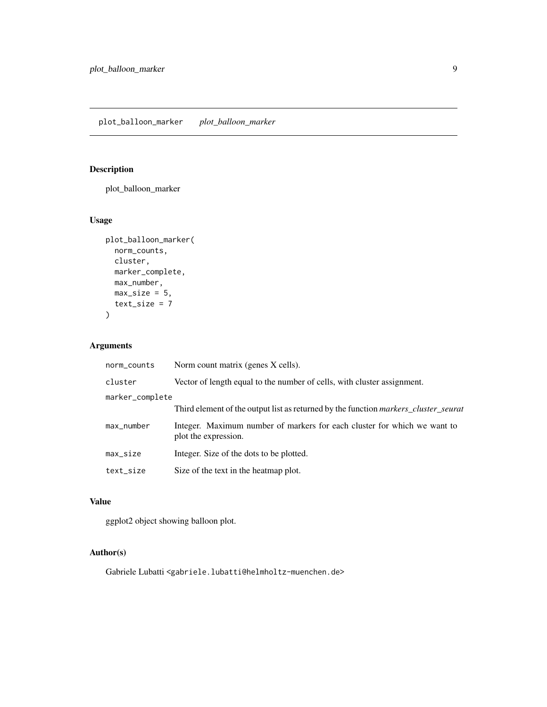#### <span id="page-8-0"></span>Description

plot\_balloon\_marker

#### Usage

```
plot_balloon_marker(
  norm_counts,
  cluster,
  marker_complete,
  max_number,
  max\_size = 5,
  text_size = 7
\mathcal{L}
```
### Arguments

| norm_counts     | Norm count matrix (genes X cells).                                                               |
|-----------------|--------------------------------------------------------------------------------------------------|
| cluster         | Vector of length equal to the number of cells, with cluster assignment.                          |
| marker_complete |                                                                                                  |
|                 | Third element of the output list as returned by the function <i>markers</i> cluster seurat       |
| max_number      | Integer. Maximum number of markers for each cluster for which we want to<br>plot the expression. |
| $max_size$      | Integer. Size of the dots to be plotted.                                                         |
| text_size       | Size of the text in the heatmap plot.                                                            |

#### Value

ggplot2 object showing balloon plot.

#### Author(s)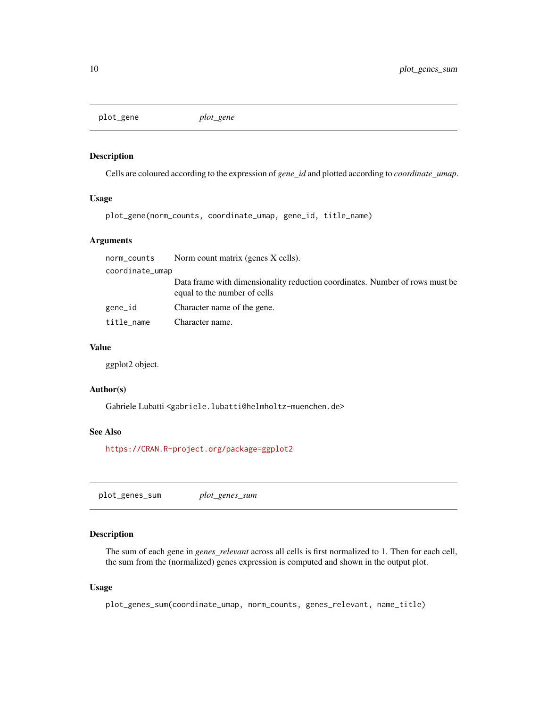<span id="page-9-0"></span>plot\_gene *plot\_gene*

#### Description

Cells are coloured according to the expression of *gene\_id* and plotted according to *coordinate\_umap*.

#### Usage

```
plot_gene(norm_counts, coordinate_umap, gene_id, title_name)
```
#### Arguments

| norm_counts     | Norm count matrix (genes X cells).                                                                           |
|-----------------|--------------------------------------------------------------------------------------------------------------|
| coordinate_umap |                                                                                                              |
|                 | Data frame with dimensionality reduction coordinates. Number of rows must be<br>equal to the number of cells |
| gene_id         | Character name of the gene.                                                                                  |
| title_name      | Character name.                                                                                              |

#### Value

ggplot2 object.

#### Author(s)

Gabriele Lubatti <gabriele.lubatti@helmholtz-muenchen.de>

#### See Also

<https://CRAN.R-project.org/package=ggplot2>

plot\_genes\_sum *plot\_genes\_sum*

#### Description

The sum of each gene in *genes\_relevant* across all cells is first normalized to 1. Then for each cell, the sum from the (normalized) genes expression is computed and shown in the output plot.

#### Usage

```
plot_genes_sum(coordinate_umap, norm_counts, genes_relevant, name_title)
```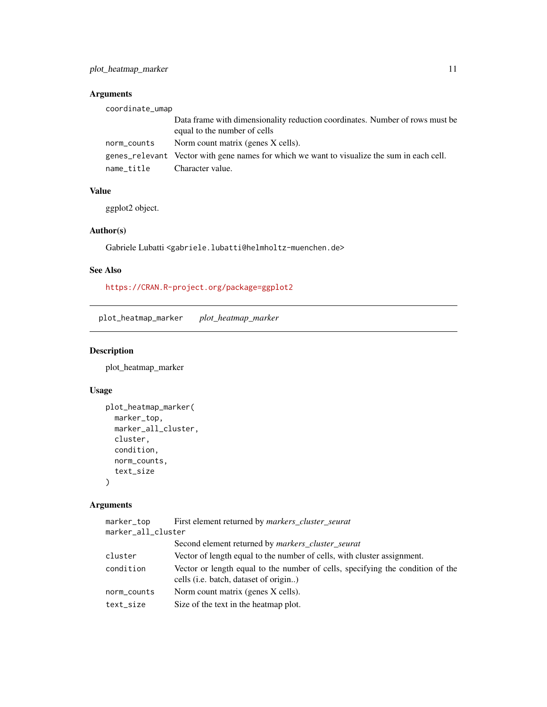### <span id="page-10-0"></span>Arguments

coordinate\_umap

|             | Data frame with dimensionality reduction coordinates. Number of rows must be               |
|-------------|--------------------------------------------------------------------------------------------|
|             | equal to the number of cells                                                               |
| norm_counts | Norm count matrix (genes X cells).                                                         |
|             | genes_relevant Vector with gene names for which we want to visualize the sum in each cell. |
| name title  | Character value.                                                                           |

#### Value

ggplot2 object.

#### Author(s)

Gabriele Lubatti <gabriele.lubatti@helmholtz-muenchen.de>

#### See Also

<https://CRAN.R-project.org/package=ggplot2>

plot\_heatmap\_marker *plot\_heatmap\_marker*

#### Description

plot\_heatmap\_marker

#### Usage

```
plot_heatmap_marker(
  marker_top,
  marker_all_cluster,
  cluster,
  condition,
  norm_counts,
  text_size
\mathcal{L}
```
#### Arguments

| marker_top         | First element returned by markers_cluster_seurat                                                                                |
|--------------------|---------------------------------------------------------------------------------------------------------------------------------|
| marker_all_cluster |                                                                                                                                 |
|                    | Second element returned by <i>markers_cluster_seurat</i>                                                                        |
| cluster            | Vector of length equal to the number of cells, with cluster assignment.                                                         |
| condition          | Vector or length equal to the number of cells, specifying the condition of the<br>cells ( <i>i.e.</i> batch, dataset of origin) |
| norm_counts        | Norm count matrix (genes X cells).                                                                                              |
| text_size          | Size of the text in the heatmap plot.                                                                                           |
|                    |                                                                                                                                 |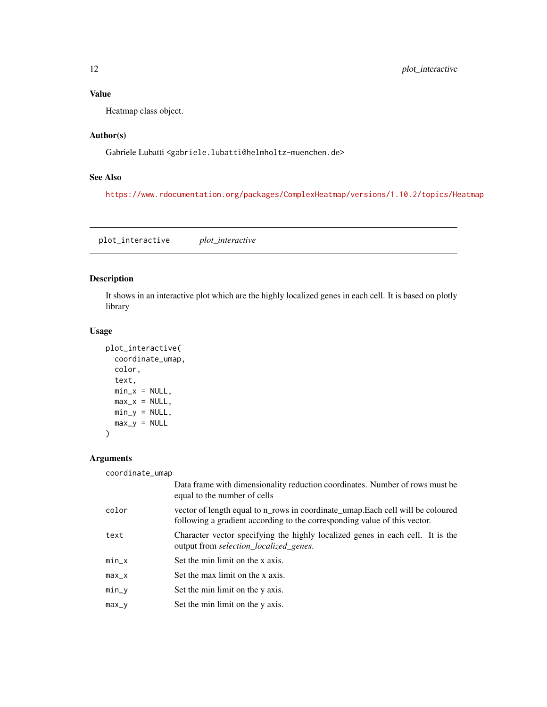#### <span id="page-11-0"></span>Value

Heatmap class object.

#### Author(s)

Gabriele Lubatti <gabriele.lubatti@helmholtz-muenchen.de>

#### See Also

<https://www.rdocumentation.org/packages/ComplexHeatmap/versions/1.10.2/topics/Heatmap>

plot\_interactive *plot\_interactive*

#### Description

It shows in an interactive plot which are the highly localized genes in each cell. It is based on plotly library

#### Usage

```
plot_interactive(
 coordinate_umap,
 color,
 text,
 min_x = NULL,max_x = NULL,min_y = NULL,max_y = NULL)
```
#### Arguments

coordinate\_umap

|         | Data frame with dimensionality reduction coordinates. Number of rows must be<br>equal to the number of cells                                                |
|---------|-------------------------------------------------------------------------------------------------------------------------------------------------------------|
| color   | vector of length equal to n_rows in coordinate_umap.Each cell will be coloured<br>following a gradient according to the corresponding value of this vector. |
| text    | Character vector specifying the highly localized genes in each cell. It is the<br>output from <i>selection_localized_genes</i> .                            |
| min_x   | Set the min limit on the x axis.                                                                                                                            |
| $max_x$ | Set the max limit on the x axis.                                                                                                                            |
| min_y   | Set the min limit on the y axis.                                                                                                                            |
| $max_y$ | Set the min limit on the y axis.                                                                                                                            |
|         |                                                                                                                                                             |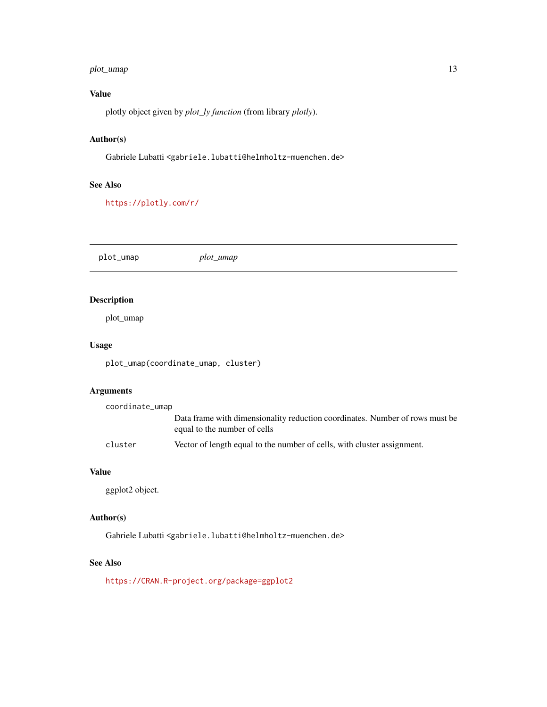#### <span id="page-12-0"></span>plot\_umap 13

#### Value

plotly object given by *plot\_ly function* (from library *plotly*).

#### Author(s)

Gabriele Lubatti <gabriele.lubatti@helmholtz-muenchen.de>

#### See Also

<https://plotly.com/r/>

plot\_umap *plot\_umap*

#### Description

plot\_umap

#### Usage

plot\_umap(coordinate\_umap, cluster)

#### Arguments

coordinate\_umap Data frame with dimensionality reduction coordinates. Number of rows must be equal to the number of cells cluster Vector of length equal to the number of cells, with cluster assignment.

#### Value

ggplot2 object.

#### Author(s)

Gabriele Lubatti <gabriele.lubatti@helmholtz-muenchen.de>

#### See Also

<https://CRAN.R-project.org/package=ggplot2>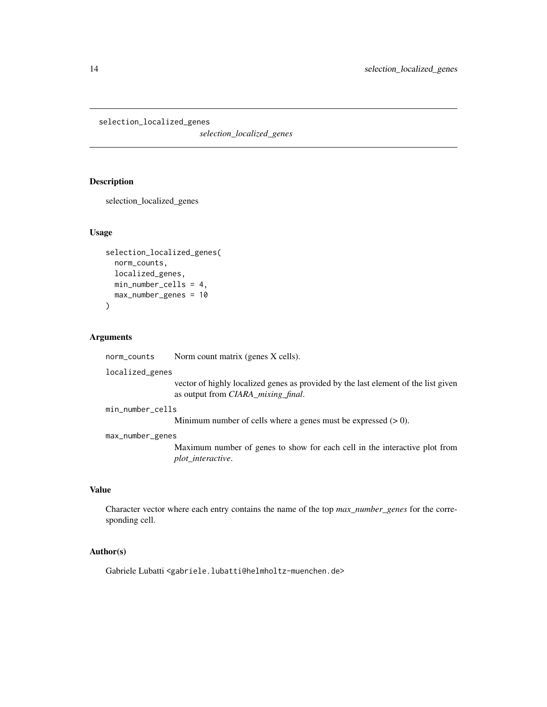<span id="page-13-0"></span>selection\_localized\_genes

*selection\_localized\_genes*

#### Description

selection\_localized\_genes

#### Usage

```
selection_localized_genes(
  norm_counts,
  localized_genes,
 min_number_cells = 4,
 max_number_genes = 10
)
```
#### Arguments

```
norm_counts Norm count matrix (genes X cells).
```
localized\_genes

vector of highly localized genes as provided by the last element of the list given as output from *CIARA\_mixing\_final*.

```
min_number_cells
```
Minimum number of cells where a genes must be expressed  $(> 0)$ .

#### max\_number\_genes

Maximum number of genes to show for each cell in the interactive plot from *plot\_interactive*.

#### Value

Character vector where each entry contains the name of the top *max\_number\_genes* for the corresponding cell.

#### Author(s)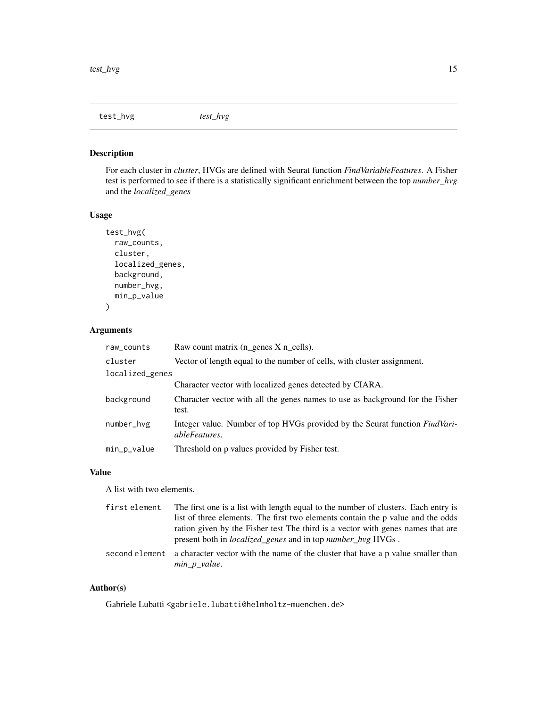<span id="page-14-0"></span>test\_hvg *test\_hvg*

#### Description

For each cluster in *cluster*, HVGs are defined with Seurat function *FindVariableFeatures*. A Fisher test is performed to see if there is a statistically significant enrichment between the top *number\_hvg* and the *localized\_genes*

#### Usage

```
test_hvg(
  raw_counts,
  cluster,
  localized_genes,
 background,
  number_hvg,
 min_p_value
)
```
#### Arguments

| raw_counts      | Raw count matrix ( $n$ genes $X$ $n$ cells).                                                                |
|-----------------|-------------------------------------------------------------------------------------------------------------|
| cluster         | Vector of length equal to the number of cells, with cluster assignment.                                     |
| localized_genes |                                                                                                             |
|                 | Character vector with localized genes detected by CIARA.                                                    |
| background      | Character vector with all the genes names to use as background for the Fisher<br>test.                      |
| number_hvg      | Integer value. Number of top HVGs provided by the Seurat function <i>FindVari</i> -<br><i>ableFeatures.</i> |
| min_p_value     | Threshold on p values provided by Fisher test.                                                              |

#### Value

A list with two elements.

| first element | The first one is a list with length equal to the number of clusters. Each entry is                                                                                                                                                              |
|---------------|-------------------------------------------------------------------------------------------------------------------------------------------------------------------------------------------------------------------------------------------------|
|               | list of three elements. The first two elements contain the p value and the odds<br>ration given by the Fisher test The third is a vector with genes names that are<br>present both in <i>localized</i> genes and in top <i>number</i> hyg HVGs. |
|               | second element a character vector with the name of the cluster that have a p value smaller than<br>$min\_p\_value$ .                                                                                                                            |

#### Author(s)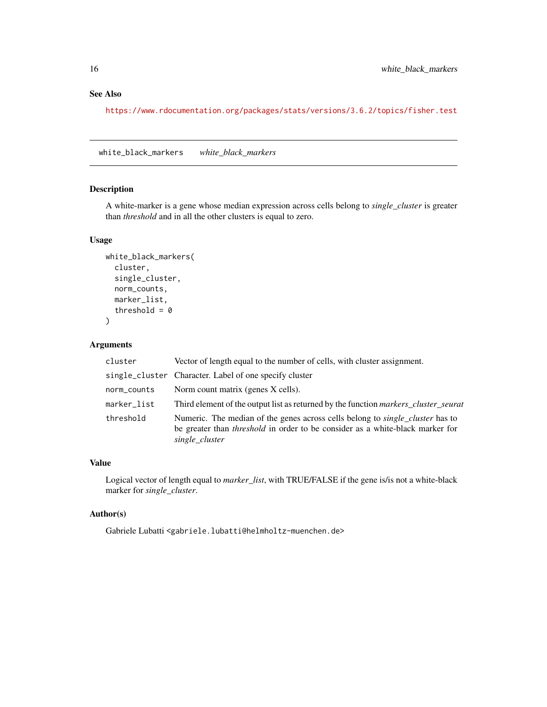#### <span id="page-15-0"></span>See Also

<https://www.rdocumentation.org/packages/stats/versions/3.6.2/topics/fisher.test>

white\_black\_markers *white\_black\_markers*

#### Description

A white-marker is a gene whose median expression across cells belong to *single\_cluster* is greater than *threshold* and in all the other clusters is equal to zero.

#### Usage

```
white_black_markers(
  cluster,
  single_cluster,
 norm_counts,
 marker_list,
  threshold = 0)
```
Arguments

| cluster     | Vector of length equal to the number of cells, with cluster assignment.                                                                                                                        |
|-------------|------------------------------------------------------------------------------------------------------------------------------------------------------------------------------------------------|
|             | single_cluster Character. Label of one specify cluster                                                                                                                                         |
| norm_counts | Norm count matrix (genes X cells).                                                                                                                                                             |
| marker list | Third element of the output list as returned by the function <i>markers_cluster_seurat</i>                                                                                                     |
| threshold   | Numeric. The median of the genes across cells belong to <i>single cluster</i> has to<br>be greater than <i>threshold</i> in order to be consider as a white-black marker for<br>single_cluster |

#### Value

Logical vector of length equal to *marker\_list*, with TRUE/FALSE if the gene is/is not a white-black marker for *single\_cluster*.

#### Author(s)